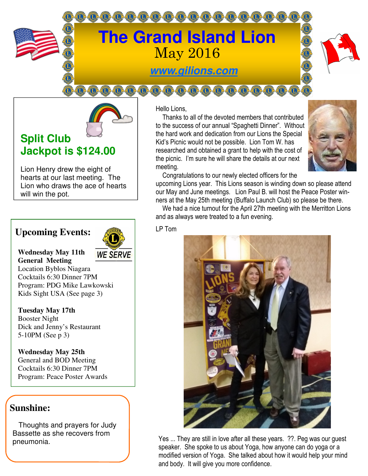



# **Split Club Jackpot is \$124.00**

Lion Henry drew the eight of hearts at our last meeting. The Lion who draws the ace of hearts will win the pot.

## **Upcoming Events:**



**Wednesday May 11th General Meeting** 

Location Byblos Niagara Cocktails 6:30 Dinner 7PM Program: PDG Mike Lawkowski Kids Sight USA (See page 3)

**Tuesday May 17th**  Booster Night Dick and Jenny's Restaurant 5-10PM (See p 3)

**Wednesday May 25th**  General and BOD Meeting Cocktails 6:30 Dinner 7PM Program: Peace Poster Awards

### **Sunshine:**

 Thoughts and prayers for Judy Bassette as she recovers from

### Hello Lions,

 Thanks to all of the devoted members that contributed to the success of our annual "Spaghetti Dinner". Without the hard work and dedication from our Lions the Special Kid's Picnic would not be possible. Lion Tom W. has researched and obtained a grant to help with the cost of the picnic. I'm sure he will share the details at our next meeting.



Congratulations to our newly elected officers for the

upcoming Lions year. This Lions season is winding down so please attend our May and June meetings. Lion Paul B. will host the Peace Poster winners at the May 25th meeting (Buffalo Launch Club) so please be there.

 We had a nice turnout for the April 27th meeting with the Merritton Lions and as always were treated to a fun evening. Ì

LP Tom



pneumonia. They are still in love after all these years. ??. Peg was our guest speaker. She spoke to us about Yoga, how anyone can do yoga or a modified version of Yoga. She talked about how it would help your mind and body. It will give you more confidence.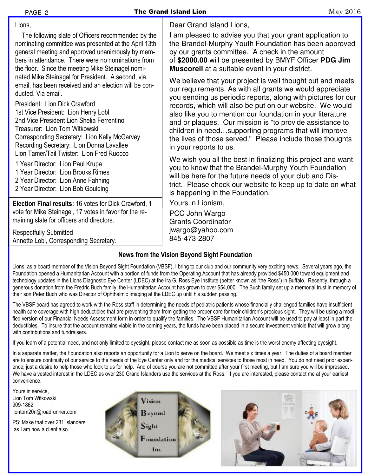| PAGE 2                                                                                                                                                                                                                                                                                                                                                                     | <b>The Grand Island Lion</b> |                                                                                                                                                                                                                                                                                                                                                                                                                                                                | May 2016 |
|----------------------------------------------------------------------------------------------------------------------------------------------------------------------------------------------------------------------------------------------------------------------------------------------------------------------------------------------------------------------------|------------------------------|----------------------------------------------------------------------------------------------------------------------------------------------------------------------------------------------------------------------------------------------------------------------------------------------------------------------------------------------------------------------------------------------------------------------------------------------------------------|----------|
| Lions,<br>The following slate of Officers recommended by the<br>nominating committee was presented at the April 13th<br>general meeting and approved unanimously by mem-<br>bers in attendance. There were no nominations from<br>the floor. Since the meeting Mike Steinagel nomi-<br>nated Mike Steinagal for President. A second, via                                   |                              | Dear Grand Island Lions,<br>I am pleased to advise you that your grant application to<br>the Brandel-Murphy Youth Foundation has been approved<br>by our grants committee. A check in the amount<br>of \$2000.00 will be presented by BMYF Officer PDG Jim<br><b>Muscoreil</b> at a suitable event in your district.<br>We believe that your project is well thought out and meets                                                                             |          |
| email, has been received and an election will be con-<br>ducted. Via email.<br>President: Lion Dick Crawford<br>1st Vice President: Lion Henry Lobl<br>2nd Vice President Lion Shelia Ferrentino<br>Treasurer: Lion Tom Witkowski<br>Corresponding Secretary: Lion Kelly McGarvey<br>Recording Secretary: Lion Donna Lavallee<br>Lion Tamer/Tail Twister: Lion Fred Ruocco |                              | our requirements. As with all grants we would appreciate<br>you sending us periodic reports, along with pictures for our<br>records, which will also be put on our website. We would<br>also like you to mention our foundation in your literature<br>and or plaques. Our mission is "to provide assistance to<br>children in needsupporting programs that will improve<br>the lives of those served." Please include those thoughts<br>in your reports to us. |          |
| 1 Year Director: Lion Paul Krupa<br>1 Year Director: Lion Brooks Rimes<br>2 Year Director: Lion Anne Fahning<br>2 Year Director: Lion Bob Goulding                                                                                                                                                                                                                         |                              | We wish you all the best in finalizing this project and want<br>you to know that the Brandel-Murphy Youth Foundation<br>will be here for the future needs of your club and Dis-<br>trict. Please check our website to keep up to date on what<br>is happening in the Foundation.                                                                                                                                                                               |          |
| Election Final results: 16 votes for Dick Crawford, 1<br>vote for Mike Steinagel, 17 votes in favor for the re-<br>maining slate for officers and directors.                                                                                                                                                                                                               |                              | Yours in Lionism,<br>PCC John Wargo<br><b>Grants Coordinator</b>                                                                                                                                                                                                                                                                                                                                                                                               |          |
| <b>Respectfully Submitted</b><br>Annette Lobl, Corresponding Secretary.                                                                                                                                                                                                                                                                                                    |                              | jwargo@yahoo.com<br>845-473-2807                                                                                                                                                                                                                                                                                                                                                                                                                               |          |

#### **News from the Vision Beyond Sight Foundation**

Lions, as a board member of the Vision Beyond Sight Foundation (VBSF), I bring to our club and our community very exciting news. Several years ago, the Foundation opened a Humanitarian Account with a portion of funds from the Operating Account that has already provided \$450,000 toward equipment and technology updates in the Lions Diagnostic Eye Center (LDEC) at the Ira G. Ross Eye Institute (better known as "the Ross") in Buffalo. Recently, through a generous donation from the Fredric Buch family, the Humanitarian Account has grown to over \$54,000. The Buch family set up a memorial trust in memory of their son Peter Buch who was Director of Ophthalmic Imaging at the LDEC up until his sudden passing.

The VBSF board has agreed to work with the Ross staff in determining the needs of pediatric patients whose financially challenged families have insufficient health care coverage with high deductibles that are preventing them from getting the proper care for their children's precious sight. They will be using a modified version of our Financial Needs Assessment form in order to qualify the families. The VBSF Humanitarian Account will be used to pay at least in part the deductibles. To insure that the account remains viable in the coming years, the funds have been placed in a secure investment vehicle that will grow along with contributions and fundraisers.

If you learn of a potential need, and not only limited to eyesight, please contact me as soon as possible as time is the worst enemy affecting eyesight.

In a separate matter, the Foundation also reports an opportunity for a Lion to serve on the board. We meet six times a year. The duties of a board member are to ensure continuity of our service to the needs of the Eye Center only and for the medical services to those most in need. You do not need prior experience, just a desire to help those who look to us for help. And of course you are not committed after your first meeting, but I am sure you will be impressed. We have a vested interest in the LDEC as over 230 Grand Islanders use the services at the Ross. If you are interested, please contact me at your earliest convenience.

Yours in service, Lion Tom Witkowski 909-1862 liontom20n@roadrunner.com

PS: Make that over 231 Islanders as I am now a client also.





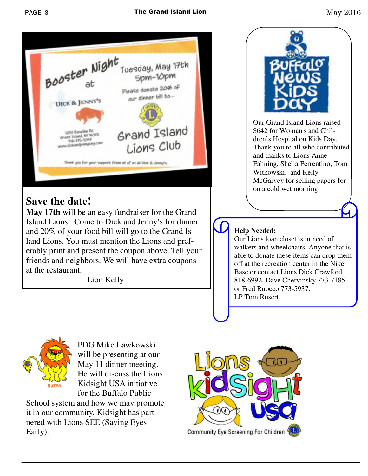





PDG Mike Lawkowski will be presenting at our May 11 dinner meeting. He will discuss the Lions Kidsight USA initiative for the Buffalo Public

School system and how we may promote it in our community. Kidsight has partnered with Lions SEE (Saving Eyes Early).